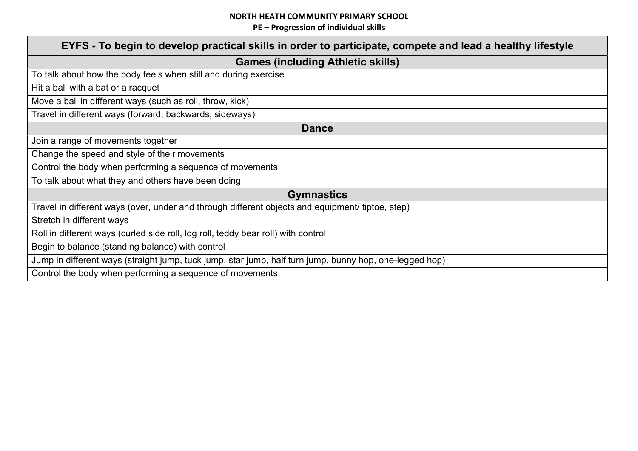| EYFS - To begin to develop practical skills in order to participate, compete and lead a healthy lifestyle |  |  |
|-----------------------------------------------------------------------------------------------------------|--|--|
| <b>Games (including Athletic skills)</b>                                                                  |  |  |
| To talk about how the body feels when still and during exercise                                           |  |  |
| Hit a ball with a bat or a racquet                                                                        |  |  |
| Move a ball in different ways (such as roll, throw, kick)                                                 |  |  |
| Travel in different ways (forward, backwards, sideways)                                                   |  |  |
| <b>Dance</b>                                                                                              |  |  |
| Join a range of movements together                                                                        |  |  |
| Change the speed and style of their movements                                                             |  |  |
| Control the body when performing a sequence of movements                                                  |  |  |
| To talk about what they and others have been doing                                                        |  |  |
| <b>Gymnastics</b>                                                                                         |  |  |
| Travel in different ways (over, under and through different objects and equipment/ tiptoe, step)          |  |  |
| Stretch in different ways                                                                                 |  |  |
| Roll in different ways (curled side roll, log roll, teddy bear roll) with control                         |  |  |
| Begin to balance (standing balance) with control                                                          |  |  |
| Jump in different ways (straight jump, tuck jump, star jump, half turn jump, bunny hop, one-legged hop)   |  |  |
| Control the body when performing a sequence of movements                                                  |  |  |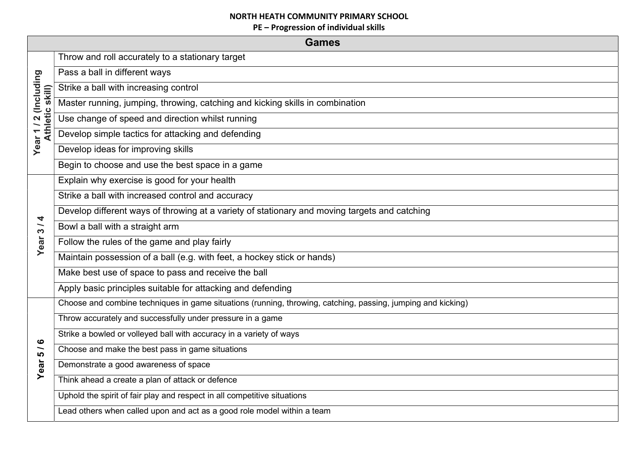|                                                           | <b>Games</b>                                                                                                 |  |  |  |
|-----------------------------------------------------------|--------------------------------------------------------------------------------------------------------------|--|--|--|
|                                                           | Throw and roll accurately to a stationary target                                                             |  |  |  |
|                                                           | Pass a ball in different ways                                                                                |  |  |  |
| (Including<br>skill)                                      | Strike a ball with increasing control                                                                        |  |  |  |
|                                                           | Master running, jumping, throwing, catching and kicking skills in combination                                |  |  |  |
| ar 1 / 2 (In<br>Athletic s                                | Use change of speed and direction whilst running                                                             |  |  |  |
| Year <sub>1</sub>                                         | Develop simple tactics for attacking and defending                                                           |  |  |  |
|                                                           | Develop ideas for improving skills                                                                           |  |  |  |
|                                                           | Begin to choose and use the best space in a game                                                             |  |  |  |
|                                                           | Explain why exercise is good for your health                                                                 |  |  |  |
|                                                           | Strike a ball with increased control and accuracy                                                            |  |  |  |
| 4<br>$\overline{\phantom{0}}$<br>$\boldsymbol{\varsigma}$ | Develop different ways of throwing at a variety of stationary and moving targets and catching                |  |  |  |
|                                                           | Bowl a ball with a straight arm                                                                              |  |  |  |
| Year                                                      | Follow the rules of the game and play fairly                                                                 |  |  |  |
|                                                           | Maintain possession of a ball (e.g. with feet, a hockey stick or hands)                                      |  |  |  |
|                                                           | Make best use of space to pass and receive the ball                                                          |  |  |  |
|                                                           | Apply basic principles suitable for attacking and defending                                                  |  |  |  |
|                                                           | Choose and combine techniques in game situations (running, throwing, catching, passing, jumping and kicking) |  |  |  |
|                                                           | Throw accurately and successfully under pressure in a game                                                   |  |  |  |
| ဖ                                                         | Strike a bowled or volleyed ball with accuracy in a variety of ways                                          |  |  |  |
| $\overline{\phantom{0}}$<br><u> ဟ</u>                     | Choose and make the best pass in game situations                                                             |  |  |  |
| ear                                                       | Demonstrate a good awareness of space                                                                        |  |  |  |
|                                                           | Think ahead a create a plan of attack or defence                                                             |  |  |  |
|                                                           | Uphold the spirit of fair play and respect in all competitive situations                                     |  |  |  |
|                                                           | Lead others when called upon and act as a good role model within a team                                      |  |  |  |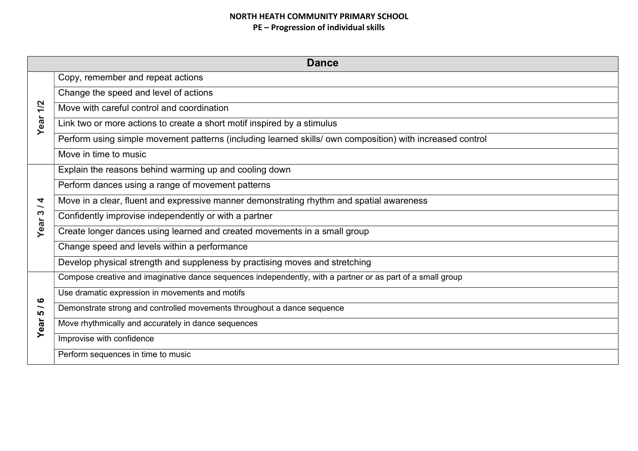|                                       | <b>Dance</b>                                                                                               |  |  |
|---------------------------------------|------------------------------------------------------------------------------------------------------------|--|--|
|                                       | Copy, remember and repeat actions                                                                          |  |  |
|                                       | Change the speed and level of actions                                                                      |  |  |
| 1/2                                   | Move with careful control and coordination                                                                 |  |  |
| Year                                  | Link two or more actions to create a short motif inspired by a stimulus                                    |  |  |
|                                       | Perform using simple movement patterns (including learned skills/ own composition) with increased control  |  |  |
|                                       | Move in time to music                                                                                      |  |  |
|                                       | Explain the reasons behind warming up and cooling down                                                     |  |  |
|                                       | Perform dances using a range of movement patterns                                                          |  |  |
| 4<br>$\overline{\phantom{0}}$         | Move in a clear, fluent and expressive manner demonstrating rhythm and spatial awareness                   |  |  |
| S                                     | Confidently improvise independently or with a partner                                                      |  |  |
| Year                                  | Create longer dances using learned and created movements in a small group                                  |  |  |
|                                       | Change speed and levels within a performance                                                               |  |  |
|                                       | Develop physical strength and suppleness by practising moves and stretching                                |  |  |
|                                       | Compose creative and imaginative dance sequences independently, with a partner or as part of a small group |  |  |
| ဖ                                     | Use dramatic expression in movements and motifs                                                            |  |  |
| $\overline{\phantom{0}}$<br><b>LO</b> | Demonstrate strong and controlled movements throughout a dance sequence                                    |  |  |
| Year                                  | Move rhythmically and accurately in dance sequences                                                        |  |  |
|                                       | Improvise with confidence                                                                                  |  |  |
|                                       | Perform sequences in time to music                                                                         |  |  |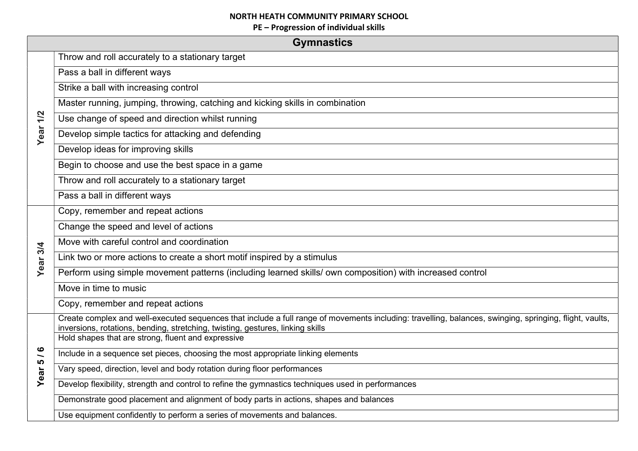|                   | <b>Gymnastics</b>                                                                                                                                                                                                                         |
|-------------------|-------------------------------------------------------------------------------------------------------------------------------------------------------------------------------------------------------------------------------------------|
|                   | Throw and roll accurately to a stationary target                                                                                                                                                                                          |
|                   | Pass a ball in different ways                                                                                                                                                                                                             |
|                   | Strike a ball with increasing control                                                                                                                                                                                                     |
|                   | Master running, jumping, throwing, catching and kicking skills in combination                                                                                                                                                             |
| 1/2               | Use change of speed and direction whilst running                                                                                                                                                                                          |
| Year              | Develop simple tactics for attacking and defending                                                                                                                                                                                        |
|                   | Develop ideas for improving skills                                                                                                                                                                                                        |
|                   | Begin to choose and use the best space in a game                                                                                                                                                                                          |
|                   | Throw and roll accurately to a stationary target                                                                                                                                                                                          |
|                   | Pass a ball in different ways                                                                                                                                                                                                             |
|                   | Copy, remember and repeat actions                                                                                                                                                                                                         |
|                   | Change the speed and level of actions                                                                                                                                                                                                     |
|                   | Move with careful control and coordination                                                                                                                                                                                                |
| Year 3/4          | Link two or more actions to create a short motif inspired by a stimulus                                                                                                                                                                   |
|                   | Perform using simple movement patterns (including learned skills/ own composition) with increased control                                                                                                                                 |
|                   | Move in time to music                                                                                                                                                                                                                     |
|                   | Copy, remember and repeat actions                                                                                                                                                                                                         |
|                   | Create complex and well-executed sequences that include a full range of movements including: travelling, balances, swinging, springing, flight, vaults,<br>inversions, rotations, bending, stretching, twisting, gestures, linking skills |
|                   | Hold shapes that are strong, fluent and expressive                                                                                                                                                                                        |
| $\frac{6}{1}$     | Include in a sequence set pieces, choosing the most appropriate linking elements                                                                                                                                                          |
| Year <sub>5</sub> | Vary speed, direction, level and body rotation during floor performances                                                                                                                                                                  |
|                   | Develop flexibility, strength and control to refine the gymnastics techniques used in performances                                                                                                                                        |
|                   | Demonstrate good placement and alignment of body parts in actions, shapes and balances                                                                                                                                                    |
|                   | Use equipment confidently to perform a series of movements and balances.                                                                                                                                                                  |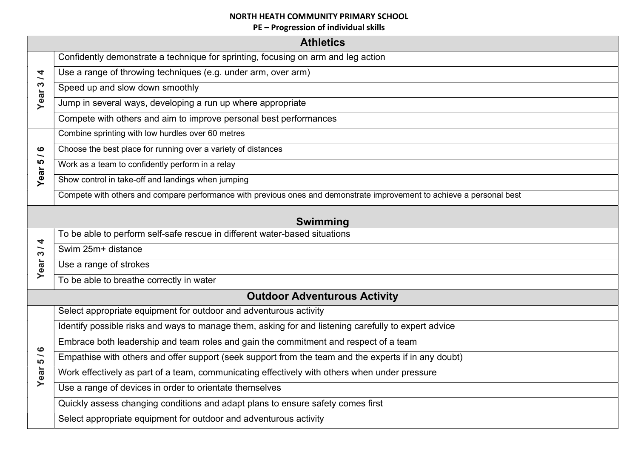|                                                   | <b>Athletics</b>                                                                                                      |  |  |
|---------------------------------------------------|-----------------------------------------------------------------------------------------------------------------------|--|--|
|                                                   | Confidently demonstrate a technique for sprinting, focusing on arm and leg action                                     |  |  |
| $\overline{\bf 4}$                                | Use a range of throwing techniques (e.g. under arm, over arm)                                                         |  |  |
| Year <sub>3</sub>                                 | Speed up and slow down smoothly                                                                                       |  |  |
|                                                   | Jump in several ways, developing a run up where appropriate                                                           |  |  |
|                                                   | Compete with others and aim to improve personal best performances                                                     |  |  |
|                                                   | Combine sprinting with low hurdles over 60 metres                                                                     |  |  |
| $\boldsymbol{\omega}$<br>$\overline{\phantom{0}}$ | Choose the best place for running over a variety of distances                                                         |  |  |
| <u> (</u>                                         | Work as a team to confidently perform in a relay                                                                      |  |  |
| Year                                              | Show control in take-off and landings when jumping                                                                    |  |  |
|                                                   | Compete with others and compare performance with previous ones and demonstrate improvement to achieve a personal best |  |  |
| <b>Swimming</b>                                   |                                                                                                                       |  |  |
|                                                   | To be able to perform self-safe rescue in different water-based situations                                            |  |  |
| 4<br>$\frac{3}{2}$                                | Swim 25m+ distance                                                                                                    |  |  |
| Year                                              | Use a range of strokes                                                                                                |  |  |
|                                                   | To be able to breathe correctly in water                                                                              |  |  |
| <b>Outdoor Adventurous Activity</b>               |                                                                                                                       |  |  |
|                                                   | Select appropriate equipment for outdoor and adventurous activity                                                     |  |  |
|                                                   | Identify possible risks and ways to manage them, asking for and listening carefully to expert advice                  |  |  |
| $\bullet$                                         | Embrace both leadership and team roles and gain the commitment and respect of a team                                  |  |  |
| 5 /                                               | Empathise with others and offer support (seek support from the team and the experts if in any doubt)                  |  |  |
| Year                                              | Work effectively as part of a team, communicating effectively with others when under pressure                         |  |  |
|                                                   | Use a range of devices in order to orientate themselves                                                               |  |  |
|                                                   | Quickly assess changing conditions and adapt plans to ensure safety comes first                                       |  |  |
|                                                   | Select appropriate equipment for outdoor and adventurous activity                                                     |  |  |